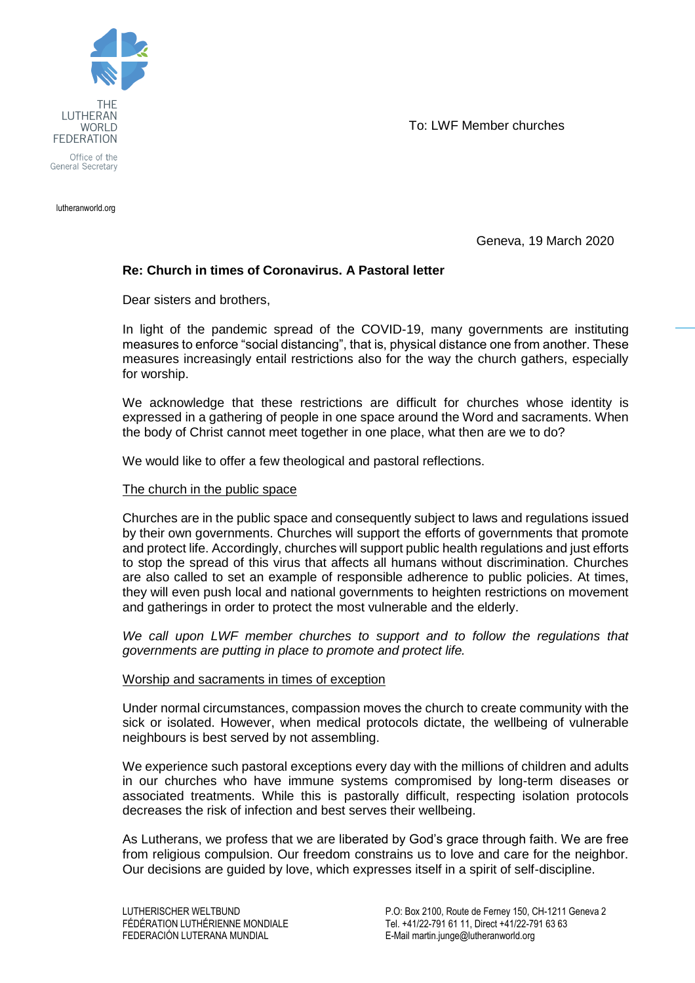To: LWF Member churches



lutheranworld.org

Geneva, 19 March 2020

# **Re: Church in times of Coronavirus. A Pastoral letter**

Dear sisters and brothers,

In light of the pandemic spread of the COVID-19, many governments are instituting measures to enforce "social distancing", that is, physical distance one from another. These measures increasingly entail restrictions also for the way the church gathers, especially for worship.

We acknowledge that these restrictions are difficult for churches whose identity is expressed in a gathering of people in one space around the Word and sacraments. When the body of Christ cannot meet together in one place, what then are we to do?

We would like to offer a few theological and pastoral reflections.

#### The church in the public space

Churches are in the public space and consequently subject to laws and regulations issued by their own governments. Churches will support the efforts of governments that promote and protect life. Accordingly, churches will support public health regulations and just efforts to stop the spread of this virus that affects all humans without discrimination. Churches are also called to set an example of responsible adherence to public policies. At times, they will even push local and national governments to heighten restrictions on movement and gatherings in order to protect the most vulnerable and the elderly.

We call upon LWF member churches to support and to follow the regulations that *governments are putting in place to promote and protect life.* 

#### Worship and sacraments in times of exception

Under normal circumstances, compassion moves the church to create community with the sick or isolated. However, when medical protocols dictate, the wellbeing of vulnerable neighbours is best served by not assembling.

We experience such pastoral exceptions every day with the millions of children and adults in our churches who have immune systems compromised by long-term diseases or associated treatments. While this is pastorally difficult, respecting isolation protocols decreases the risk of infection and best serves their wellbeing.

As Lutherans, we profess that we are liberated by God's grace through faith. We are free from religious compulsion. Our freedom constrains us to love and care for the neighbor. Our decisions are guided by love, which expresses itself in a spirit of self-discipline.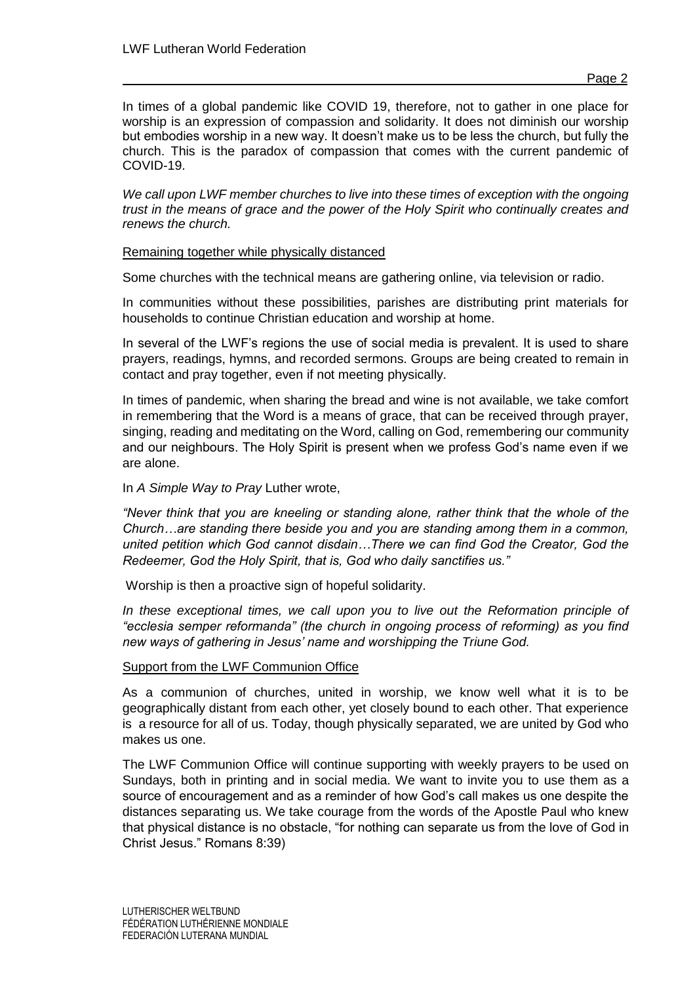In times of a global pandemic like COVID 19, therefore, not to gather in one place for worship is an expression of compassion and solidarity. It does not diminish our worship but embodies worship in a new way. It doesn't make us to be less the church, but fully the church. This is the paradox of compassion that comes with the current pandemic of COVID-19.

*We call upon LWF member churches to live into these times of exception with the ongoing trust in the means of grace and the power of the Holy Spirit who continually creates and renews the church.*

### Remaining together while physically distanced

Some churches with the technical means are gathering online, via television or radio.

In communities without these possibilities, parishes are distributing print materials for households to continue Christian education and worship at home.

In several of the LWF's regions the use of social media is prevalent. It is used to share prayers, readings, hymns, and recorded sermons. Groups are being created to remain in contact and pray together, even if not meeting physically.

In times of pandemic, when sharing the bread and wine is not available, we take comfort in remembering that the Word is a means of grace, that can be received through prayer, singing, reading and meditating on the Word, calling on God, remembering our community and our neighbours. The Holy Spirit is present when we profess God's name even if we are alone.

## In *A Simple Way to Pray* Luther wrote,

*"Never think that you are kneeling or standing alone, rather think that the whole of the Church…are standing there beside you and you are standing among them in a common, united petition which God cannot disdain…There we can find God the Creator, God the Redeemer, God the Holy Spirit, that is, God who daily sanctifies us."*

Worship is then a proactive sign of hopeful solidarity.

*In these exceptional times, we call upon you to live out the Reformation principle of "ecclesia semper reformanda" (the church in ongoing process of reforming) as you find new ways of gathering in Jesus' name and worshipping the Triune God.* 

### Support from the LWF Communion Office

As a communion of churches, united in worship, we know well what it is to be geographically distant from each other, yet closely bound to each other. That experience is a resource for all of us. Today, though physically separated, we are united by God who makes us one.

The LWF Communion Office will continue supporting with weekly prayers to be used on Sundays, both in printing and in social media. We want to invite you to use them as a source of encouragement and as a reminder of how God's call makes us one despite the distances separating us. We take courage from the words of the Apostle Paul who knew that physical distance is no obstacle, "for nothing can separate us from the love of God in Christ Jesus." Romans 8:39)